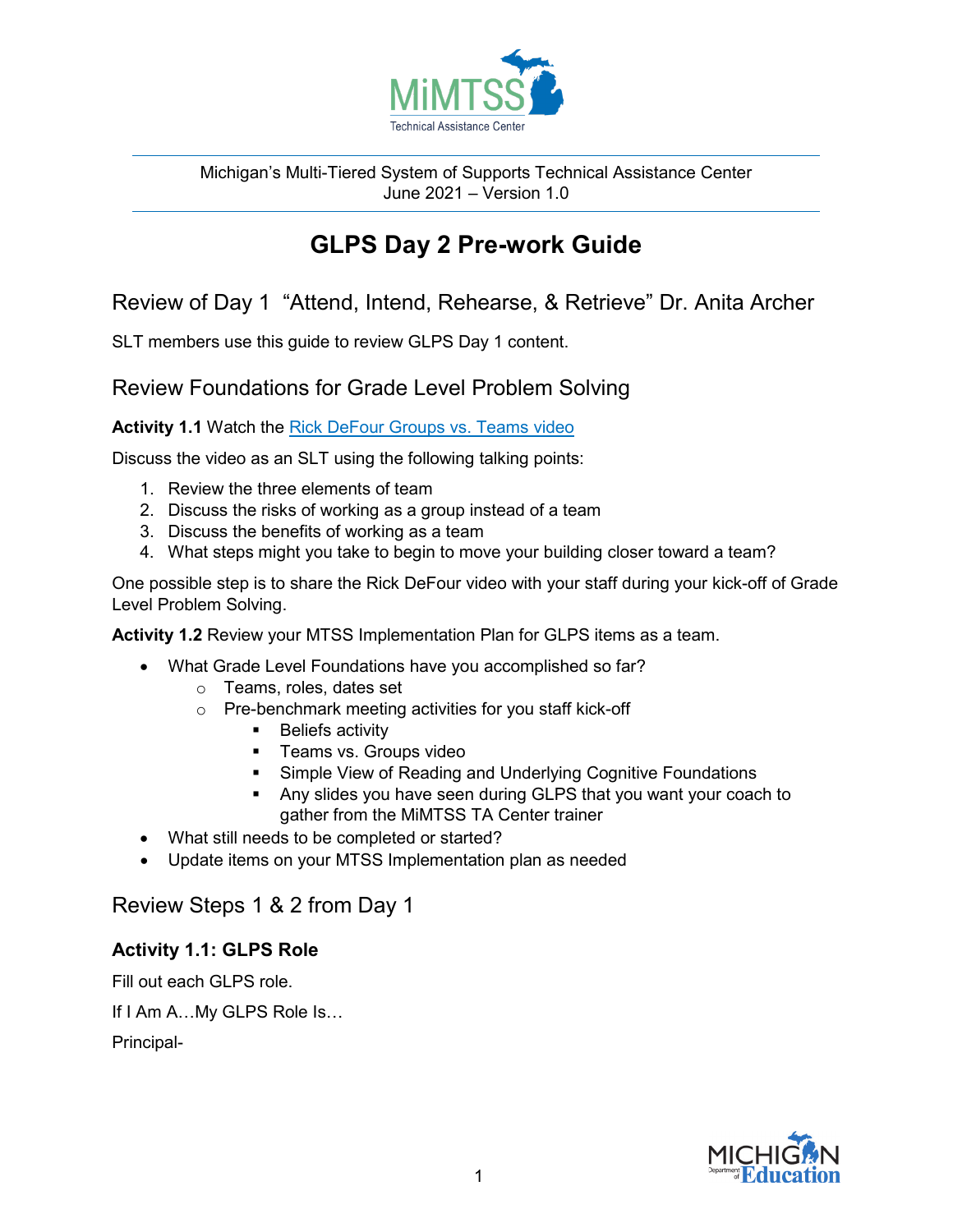

Michigan's Multi-Tiered System of Supports Technical Assistance Center June 2021 – Version 1.0

# **GLPS Day 2 Pre-work Guide**

Review of Day 1 "Attend, Intend, Rehearse, & Retrieve" Dr. Anita Archer

SLT members use this guide to review GLPS Day 1 content.

## Review Foundations for Grade Level Problem Solving

Activity 1.1 Watch the [Rick DeFour Groups vs. Teams video](https://www.youtube.com/watch?v=0hV65KIItlE)

Discuss the video as an SLT using the following talking points:

- 1. Review the three elements of team
- 2. Discuss the risks of working as a group instead of a team
- 3. Discuss the benefits of working as a team
- 4. What steps might you take to begin to move your building closer toward a team?

One possible step is to share the Rick DeFour video with your staff during your kick-off of Grade Level Problem Solving.

**Activity 1.2** Review your MTSS Implementation Plan for GLPS items as a team.

- What Grade Level Foundations have you accomplished so far?
	- o Teams, roles, dates set
	- o Pre-benchmark meeting activities for you staff kick-off
		- **Beliefs activity**
		- **Teams vs. Groups video**
		- **Simple View of Reading and Underlying Cognitive Foundations**
		- Any slides you have seen during GLPS that you want your coach to gather from the MiMTSS TA Center trainer
- What still needs to be completed or started?
- Update items on your MTSS Implementation plan as needed

# Review Steps 1 & 2 from Day 1

## **Activity 1.1: GLPS Role**

Fill out each GLPS role.

If I Am A…My GLPS Role Is…

Principal-

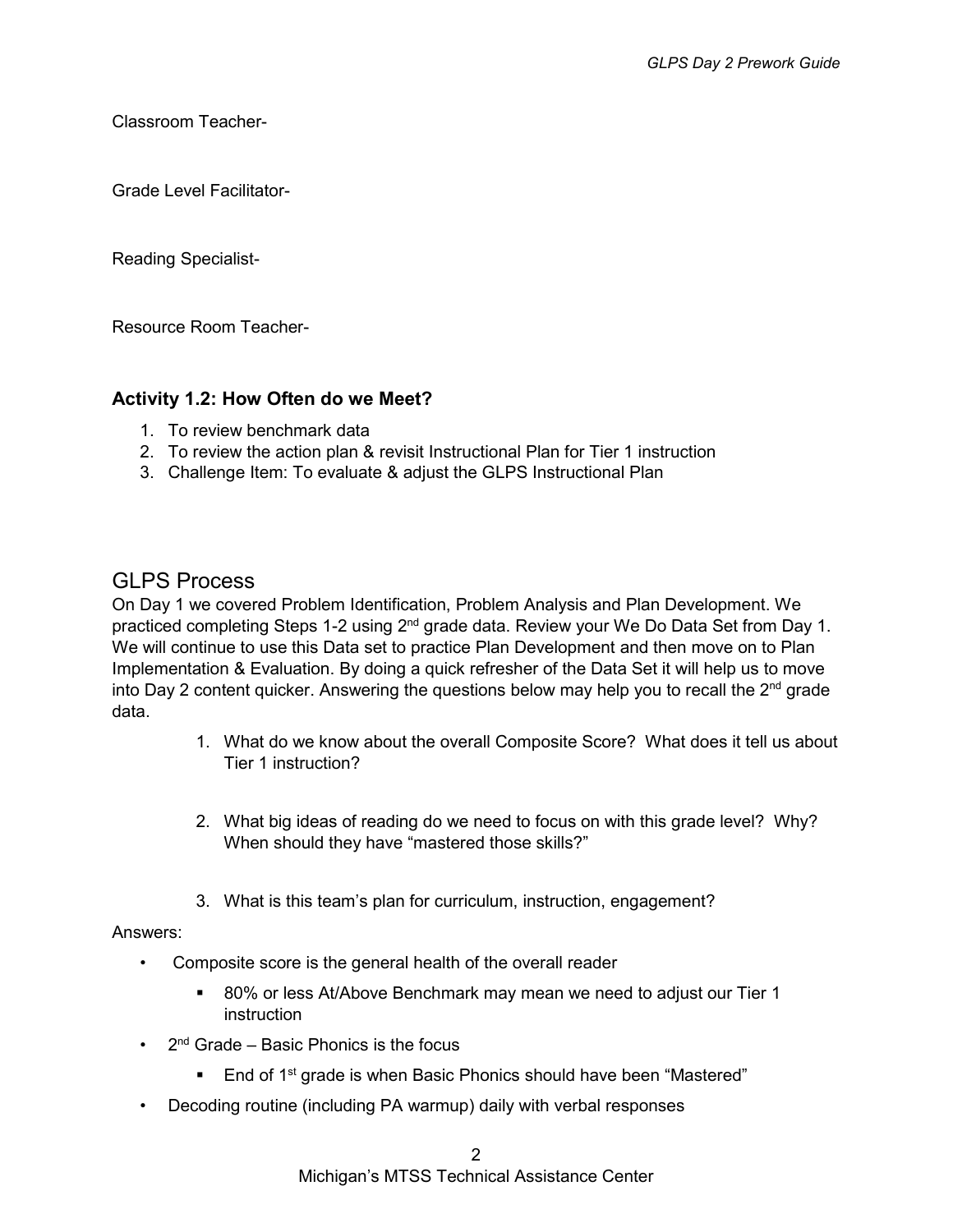Classroom Teacher-

Grade Level Facilitator-

Reading Specialist-

Resource Room Teacher-

### **Activity 1.2: How Often do we Meet?**

- 1. To review benchmark data
- 2. To review the action plan & revisit Instructional Plan for Tier 1 instruction
- 3. Challenge Item: To evaluate & adjust the GLPS Instructional Plan

## GLPS Process

On Day 1 we covered Problem Identification, Problem Analysis and Plan Development. We practiced completing Steps 1-2 using 2<sup>nd</sup> grade data. Review your We Do Data Set from Day 1. We will continue to use this Data set to practice Plan Development and then move on to Plan Implementation & Evaluation. By doing a quick refresher of the Data Set it will help us to move into Day 2 content quicker. Answering the questions below may help you to recall the  $2<sup>nd</sup>$  grade data.

- 1. What do we know about the overall Composite Score? What does it tell us about Tier 1 instruction?
- 2. What big ideas of reading do we need to focus on with this grade level? Why? When should they have "mastered those skills?"
- 3. What is this team's plan for curriculum, instruction, engagement?

#### Answers:

- Composite score is the general health of the overall reader
	- 80% or less At/Above Benchmark may mean we need to adjust our Tier 1 instruction
- $2<sup>nd</sup>$  Grade Basic Phonics is the focus
	- **End of 1st grade is when Basic Phonics should have been "Mastered"**
- Decoding routine (including PA warmup) daily with verbal responses